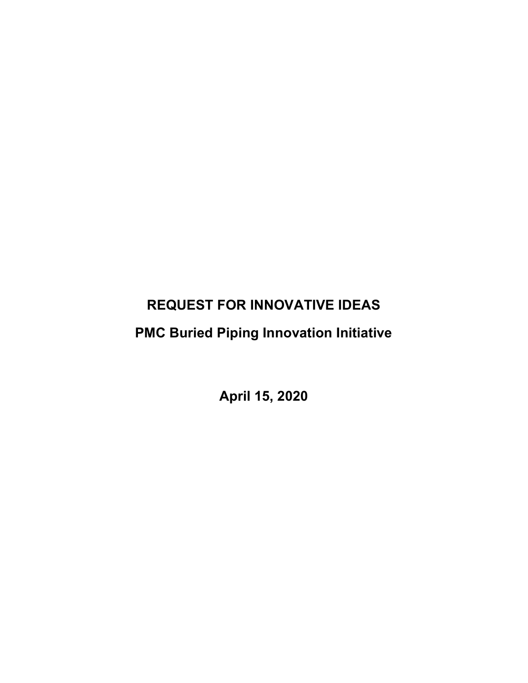# REQUEST FOR INNOVATIVE IDEAS

# PMC Buried Piping Innovation Initiative

April 15, 2020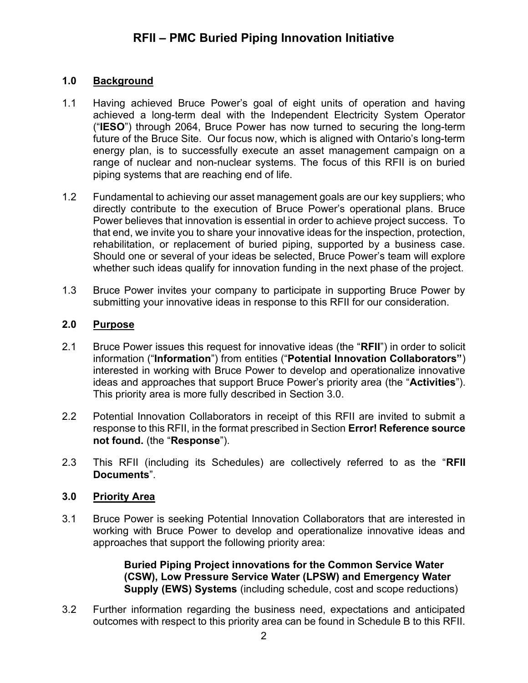### 1.0 Background

- 1.1 Having achieved Bruce Power's goal of eight units of operation and having achieved a long-term deal with the Independent Electricity System Operator ("IESO") through 2064, Bruce Power has now turned to securing the long-term future of the Bruce Site. Our focus now, which is aligned with Ontario's long-term energy plan, is to successfully execute an asset management campaign on a range of nuclear and non-nuclear systems. The focus of this RFII is on buried piping systems that are reaching end of life.
- 1.2 Fundamental to achieving our asset management goals are our key suppliers; who directly contribute to the execution of Bruce Power's operational plans. Bruce Power believes that innovation is essential in order to achieve project success. To that end, we invite you to share your innovative ideas for the inspection, protection, rehabilitation, or replacement of buried piping, supported by a business case. Should one or several of your ideas be selected, Bruce Power's team will explore whether such ideas qualify for innovation funding in the next phase of the project.
- 1.3 Bruce Power invites your company to participate in supporting Bruce Power by submitting your innovative ideas in response to this RFII for our consideration.

### 2.0 Purpose

- 2.1 Bruce Power issues this request for innovative ideas (the "RFII") in order to solicit information ("Information") from entities ("Potential Innovation Collaborators") interested in working with Bruce Power to develop and operationalize innovative ideas and approaches that support Bruce Power's priority area (the "Activities"). This priority area is more fully described in Section 3.0.
- 2.2 Potential Innovation Collaborators in receipt of this RFII are invited to submit a response to this RFII, in the format prescribed in Section Error! Reference source not found. (the "Response").
- 2.3 This RFII (including its Schedules) are collectively referred to as the "RFII Documents".

### 3.0 Priority Area

3.1 Bruce Power is seeking Potential Innovation Collaborators that are interested in working with Bruce Power to develop and operationalize innovative ideas and approaches that support the following priority area:

> Buried Piping Project innovations for the Common Service Water (CSW), Low Pressure Service Water (LPSW) and Emergency Water Supply (EWS) Systems (including schedule, cost and scope reductions)

3.2 Further information regarding the business need, expectations and anticipated outcomes with respect to this priority area can be found in Schedule B to this RFII.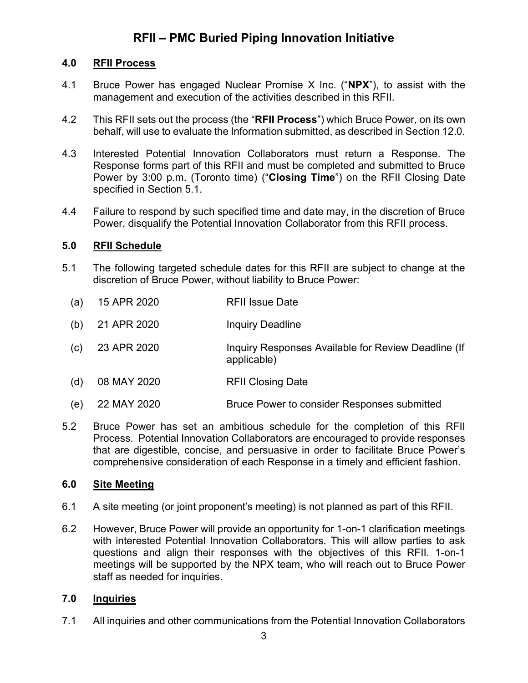#### 4.0 RFII Process

- 4.1 Bruce Power has engaged Nuclear Promise X Inc. ("NPX"), to assist with the management and execution of the activities described in this RFII.
- 4.2 This RFII sets out the process (the "RFII Process") which Bruce Power, on its own behalf, will use to evaluate the Information submitted, as described in Section 12.0.
- 4.3 Interested Potential Innovation Collaborators must return a Response. The Response forms part of this RFII and must be completed and submitted to Bruce Power by 3:00 p.m. (Toronto time) ("Closing Time") on the RFII Closing Date specified in Section 5.1.
- 4.4 Failure to respond by such specified time and date may, in the discretion of Bruce Power, disqualify the Potential Innovation Collaborator from this RFII process.

#### 5.0 RFII Schedule

- 5.1 The following targeted schedule dates for this RFII are subject to change at the discretion of Bruce Power, without liability to Bruce Power:
	- (a) 15 APR 2020 RFII Issue Date
	- (b) 21 APR 2020 Inquiry Deadline
	- (c) 23 APR 2020 Inquiry Responses Available for Review Deadline (If applicable)
	- (d) 08 MAY 2020 RFII Closing Date
	- (e) 22 MAY 2020 Bruce Power to consider Responses submitted
- 5.2 Bruce Power has set an ambitious schedule for the completion of this RFII Process. Potential Innovation Collaborators are encouraged to provide responses that are digestible, concise, and persuasive in order to facilitate Bruce Power's comprehensive consideration of each Response in a timely and efficient fashion.

#### 6.0 Site Meeting

- 6.1 A site meeting (or joint proponent's meeting) is not planned as part of this RFII.
- 6.2 However, Bruce Power will provide an opportunity for 1-on-1 clarification meetings with interested Potential Innovation Collaborators. This will allow parties to ask questions and align their responses with the objectives of this RFII. 1-on-1 meetings will be supported by the NPX team, who will reach out to Bruce Power staff as needed for inquiries.

### 7.0 Inquiries

7.1 All inquiries and other communications from the Potential Innovation Collaborators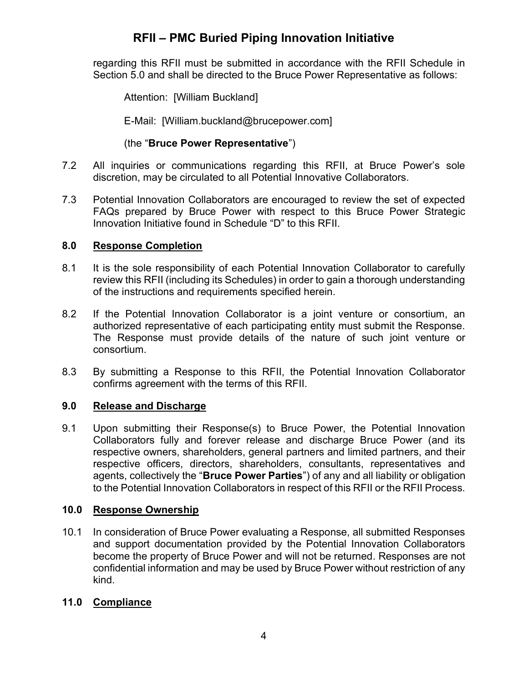regarding this RFII must be submitted in accordance with the RFII Schedule in Section 5.0 and shall be directed to the Bruce Power Representative as follows:

Attention: [William Buckland]

E-Mail: [William.buckland@brucepower.com]

### (the "Bruce Power Representative")

- 7.2 All inquiries or communications regarding this RFII, at Bruce Power's sole discretion, may be circulated to all Potential Innovative Collaborators.
- 7.3 Potential Innovation Collaborators are encouraged to review the set of expected FAQs prepared by Bruce Power with respect to this Bruce Power Strategic Innovation Initiative found in Schedule "D" to this RFII.

### 8.0 Response Completion

- 8.1 It is the sole responsibility of each Potential Innovation Collaborator to carefully review this RFII (including its Schedules) in order to gain a thorough understanding of the instructions and requirements specified herein.
- 8.2 If the Potential Innovation Collaborator is a joint venture or consortium, an authorized representative of each participating entity must submit the Response. The Response must provide details of the nature of such joint venture or consortium.
- 8.3 By submitting a Response to this RFII, the Potential Innovation Collaborator confirms agreement with the terms of this RFII.

### 9.0 Release and Discharge

9.1 Upon submitting their Response(s) to Bruce Power, the Potential Innovation Collaborators fully and forever release and discharge Bruce Power (and its respective owners, shareholders, general partners and limited partners, and their respective officers, directors, shareholders, consultants, representatives and agents, collectively the "Bruce Power Parties") of any and all liability or obligation to the Potential Innovation Collaborators in respect of this RFII or the RFII Process.

### 10.0 Response Ownership

10.1 In consideration of Bruce Power evaluating a Response, all submitted Responses and support documentation provided by the Potential Innovation Collaborators become the property of Bruce Power and will not be returned. Responses are not confidential information and may be used by Bruce Power without restriction of any kind.

### 11.0 Compliance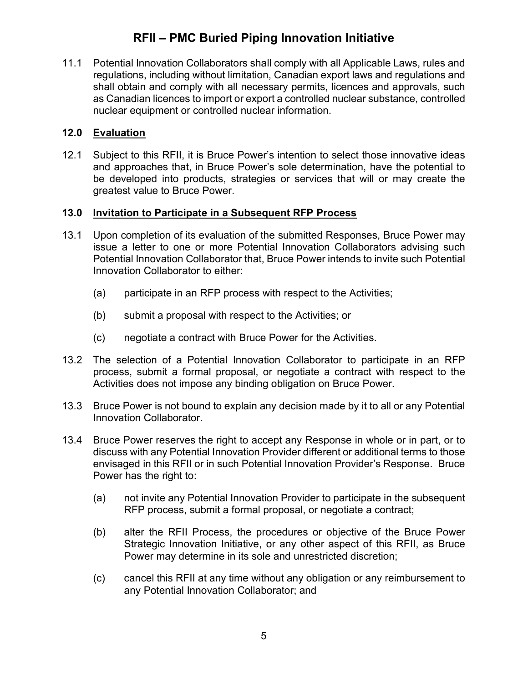11.1 Potential Innovation Collaborators shall comply with all Applicable Laws, rules and regulations, including without limitation, Canadian export laws and regulations and shall obtain and comply with all necessary permits, licences and approvals, such as Canadian licences to import or export a controlled nuclear substance, controlled nuclear equipment or controlled nuclear information.

### 12.0 Evaluation

12.1 Subject to this RFII, it is Bruce Power's intention to select those innovative ideas and approaches that, in Bruce Power's sole determination, have the potential to be developed into products, strategies or services that will or may create the greatest value to Bruce Power.

#### 13.0 Invitation to Participate in a Subsequent RFP Process

- 13.1 Upon completion of its evaluation of the submitted Responses, Bruce Power may issue a letter to one or more Potential Innovation Collaborators advising such Potential Innovation Collaborator that, Bruce Power intends to invite such Potential Innovation Collaborator to either:
	- (a) participate in an RFP process with respect to the Activities;
	- (b) submit a proposal with respect to the Activities; or
	- (c) negotiate a contract with Bruce Power for the Activities.
- 13.2 The selection of a Potential Innovation Collaborator to participate in an RFP process, submit a formal proposal, or negotiate a contract with respect to the Activities does not impose any binding obligation on Bruce Power.
- 13.3 Bruce Power is not bound to explain any decision made by it to all or any Potential Innovation Collaborator.
- 13.4 Bruce Power reserves the right to accept any Response in whole or in part, or to discuss with any Potential Innovation Provider different or additional terms to those envisaged in this RFII or in such Potential Innovation Provider's Response. Bruce Power has the right to:
	- (a) not invite any Potential Innovation Provider to participate in the subsequent RFP process, submit a formal proposal, or negotiate a contract;
	- (b) alter the RFII Process, the procedures or objective of the Bruce Power Strategic Innovation Initiative, or any other aspect of this RFII, as Bruce Power may determine in its sole and unrestricted discretion;
	- (c) cancel this RFII at any time without any obligation or any reimbursement to any Potential Innovation Collaborator; and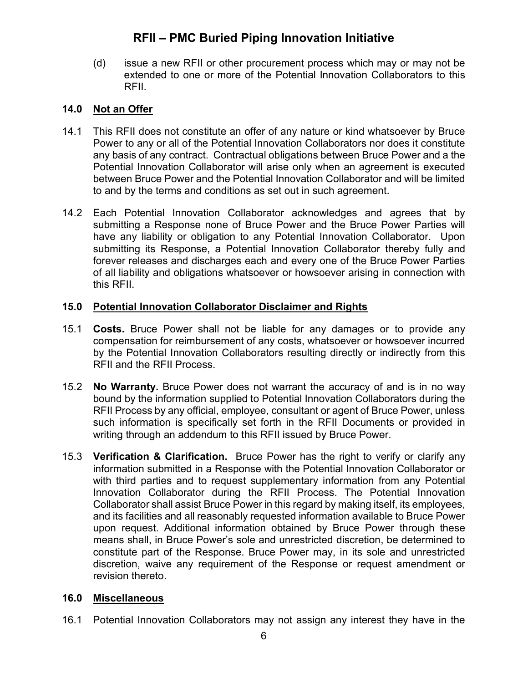(d) issue a new RFII or other procurement process which may or may not be extended to one or more of the Potential Innovation Collaborators to this RFII.

#### 14.0 Not an Offer

- 14.1 This RFII does not constitute an offer of any nature or kind whatsoever by Bruce Power to any or all of the Potential Innovation Collaborators nor does it constitute any basis of any contract. Contractual obligations between Bruce Power and a the Potential Innovation Collaborator will arise only when an agreement is executed between Bruce Power and the Potential Innovation Collaborator and will be limited to and by the terms and conditions as set out in such agreement.
- 14.2 Each Potential Innovation Collaborator acknowledges and agrees that by submitting a Response none of Bruce Power and the Bruce Power Parties will have any liability or obligation to any Potential Innovation Collaborator. Upon submitting its Response, a Potential Innovation Collaborator thereby fully and forever releases and discharges each and every one of the Bruce Power Parties of all liability and obligations whatsoever or howsoever arising in connection with this RFII.

#### 15.0 Potential Innovation Collaborator Disclaimer and Rights

- 15.1 Costs. Bruce Power shall not be liable for any damages or to provide any compensation for reimbursement of any costs, whatsoever or howsoever incurred by the Potential Innovation Collaborators resulting directly or indirectly from this RFII and the RFII Process.
- 15.2 **No Warranty.** Bruce Power does not warrant the accuracy of and is in no way bound by the information supplied to Potential Innovation Collaborators during the RFII Process by any official, employee, consultant or agent of Bruce Power, unless such information is specifically set forth in the RFII Documents or provided in writing through an addendum to this RFII issued by Bruce Power.
- 15.3 Verification & Clarification. Bruce Power has the right to verify or clarify any information submitted in a Response with the Potential Innovation Collaborator or with third parties and to request supplementary information from any Potential Innovation Collaborator during the RFII Process. The Potential Innovation Collaborator shall assist Bruce Power in this regard by making itself, its employees, and its facilities and all reasonably requested information available to Bruce Power upon request. Additional information obtained by Bruce Power through these means shall, in Bruce Power's sole and unrestricted discretion, be determined to constitute part of the Response. Bruce Power may, in its sole and unrestricted discretion, waive any requirement of the Response or request amendment or revision thereto.

#### 16.0 Miscellaneous

16.1 Potential Innovation Collaborators may not assign any interest they have in the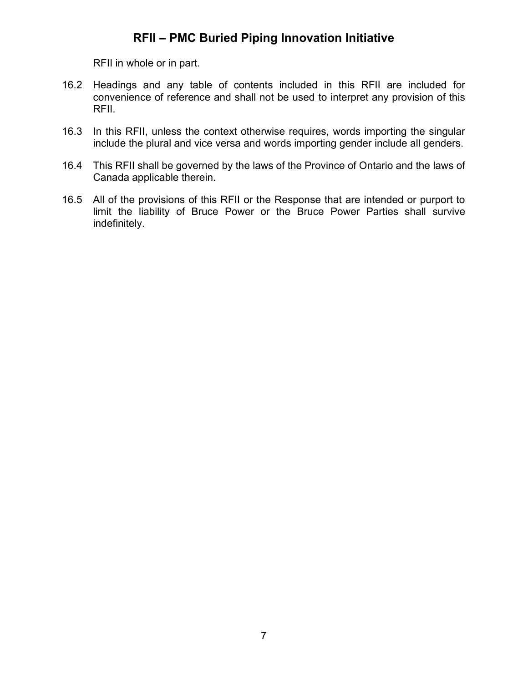RFII in whole or in part.

- 16.2 Headings and any table of contents included in this RFII are included for convenience of reference and shall not be used to interpret any provision of this RFII.
- 16.3 In this RFII, unless the context otherwise requires, words importing the singular include the plural and vice versa and words importing gender include all genders.
- 16.4 This RFII shall be governed by the laws of the Province of Ontario and the laws of Canada applicable therein.
- 16.5 All of the provisions of this RFII or the Response that are intended or purport to limit the liability of Bruce Power or the Bruce Power Parties shall survive indefinitely.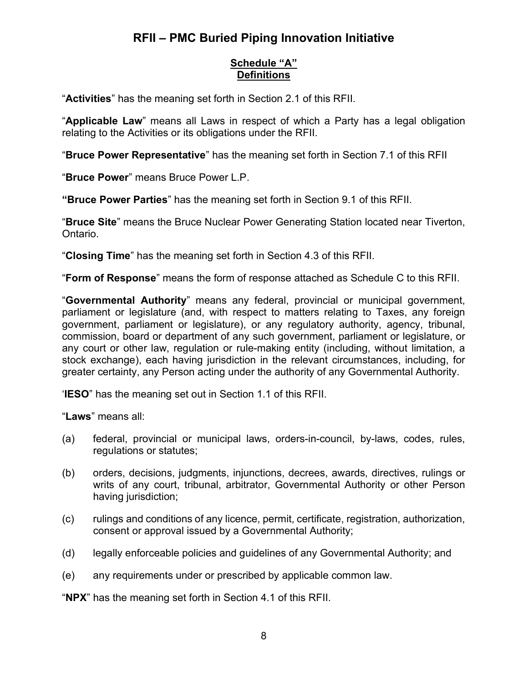### Schedule "A" **Definitions**

"Activities" has the meaning set forth in Section 2.1 of this RFII.

"Applicable Law" means all Laws in respect of which a Party has a legal obligation relating to the Activities or its obligations under the RFII.

"Bruce Power Representative" has the meaning set forth in Section 7.1 of this RFII

"Bruce Power" means Bruce Power L.P.

"Bruce Power Parties" has the meaning set forth in Section 9.1 of this RFII.

"Bruce Site" means the Bruce Nuclear Power Generating Station located near Tiverton, Ontario.

"Closing Time" has the meaning set forth in Section 4.3 of this RFII.

"Form of Response" means the form of response attached as Schedule C to this RFII.

"Governmental Authority" means any federal, provincial or municipal government, parliament or legislature (and, with respect to matters relating to Taxes, any foreign government, parliament or legislature), or any regulatory authority, agency, tribunal, commission, board or department of any such government, parliament or legislature, or any court or other law, regulation or rule-making entity (including, without limitation, a stock exchange), each having jurisdiction in the relevant circumstances, including, for greater certainty, any Person acting under the authority of any Governmental Authority.

'IESO" has the meaning set out in Section 1.1 of this RFII.

"Laws" means all:

- (a) federal, provincial or municipal laws, orders-in-council, by-laws, codes, rules, regulations or statutes;
- (b) orders, decisions, judgments, injunctions, decrees, awards, directives, rulings or writs of any court, tribunal, arbitrator, Governmental Authority or other Person having jurisdiction;
- (c) rulings and conditions of any licence, permit, certificate, registration, authorization, consent or approval issued by a Governmental Authority;
- (d) legally enforceable policies and guidelines of any Governmental Authority; and
- (e) any requirements under or prescribed by applicable common law.

"NPX" has the meaning set forth in Section 4.1 of this RFII.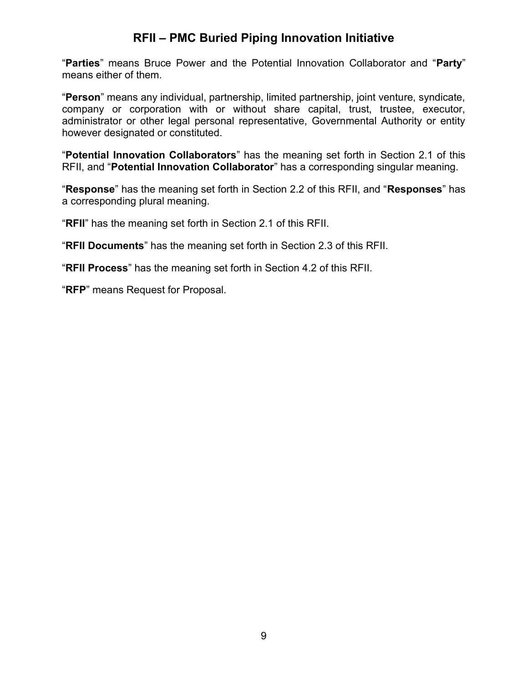"Parties" means Bruce Power and the Potential Innovation Collaborator and "Party" means either of them.

"Person" means any individual, partnership, limited partnership, joint venture, syndicate, company or corporation with or without share capital, trust, trustee, executor, administrator or other legal personal representative, Governmental Authority or entity however designated or constituted.

"Potential Innovation Collaborators" has the meaning set forth in Section 2.1 of this RFII, and "Potential Innovation Collaborator" has a corresponding singular meaning.

"Response" has the meaning set forth in Section 2.2 of this RFII, and "Responses" has a corresponding plural meaning.

"RFII" has the meaning set forth in Section 2.1 of this RFII.

"RFII Documents" has the meaning set forth in Section 2.3 of this RFII.

"RFII Process" has the meaning set forth in Section 4.2 of this RFII.

"RFP" means Request for Proposal.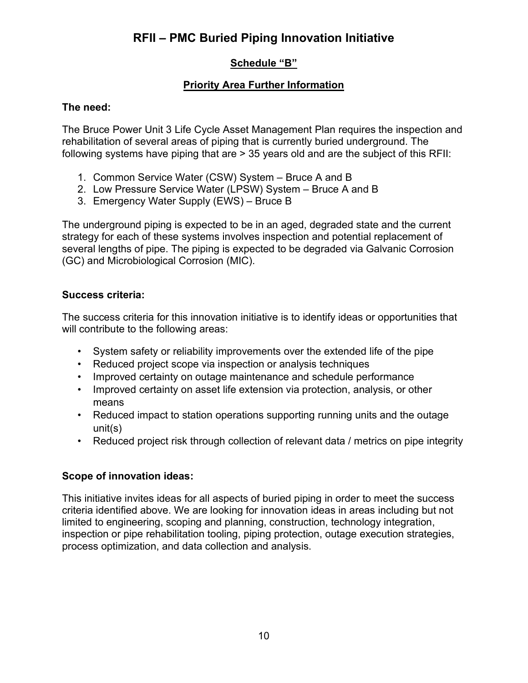### Schedule "B"

### Priority Area Further Information

### The need:

The Bruce Power Unit 3 Life Cycle Asset Management Plan requires the inspection and rehabilitation of several areas of piping that is currently buried underground. The following systems have piping that are > 35 years old and are the subject of this RFII:

- 1. Common Service Water (CSW) System Bruce A and B
- 2. Low Pressure Service Water (LPSW) System Bruce A and B
- 3. Emergency Water Supply (EWS) Bruce B

The underground piping is expected to be in an aged, degraded state and the current strategy for each of these systems involves inspection and potential replacement of several lengths of pipe. The piping is expected to be degraded via Galvanic Corrosion (GC) and Microbiological Corrosion (MIC).

#### Success criteria:

The success criteria for this innovation initiative is to identify ideas or opportunities that will contribute to the following areas:

- System safety or reliability improvements over the extended life of the pipe
- Reduced project scope via inspection or analysis techniques
- Improved certainty on outage maintenance and schedule performance
- Improved certainty on asset life extension via protection, analysis, or other means
- Reduced impact to station operations supporting running units and the outage unit(s)
- Reduced project risk through collection of relevant data / metrics on pipe integrity

### Scope of innovation ideas:

This initiative invites ideas for all aspects of buried piping in order to meet the success criteria identified above. We are looking for innovation ideas in areas including but not limited to engineering, scoping and planning, construction, technology integration, inspection or pipe rehabilitation tooling, piping protection, outage execution strategies, process optimization, and data collection and analysis.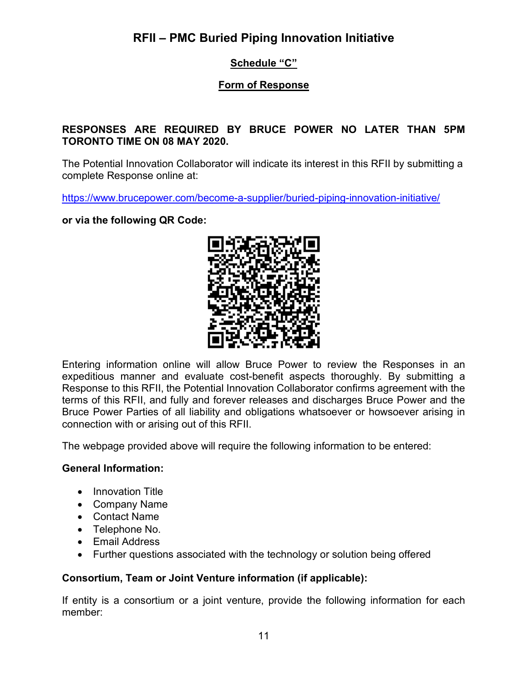### Schedule "C"

### Form of Response

#### RESPONSES ARE REQUIRED BY BRUCE POWER NO LATER THAN 5PM TORONTO TIME ON 08 MAY 2020.

The Potential Innovation Collaborator will indicate its interest in this RFII by submitting a complete Response online at:

https://www.brucepower.com/become-a-supplier/buried-piping-innovation-initiative/

or via the following QR Code:



Entering information online will allow Bruce Power to review the Responses in an expeditious manner and evaluate cost-benefit aspects thoroughly. By submitting a Response to this RFII, the Potential Innovation Collaborator confirms agreement with the terms of this RFII, and fully and forever releases and discharges Bruce Power and the Bruce Power Parties of all liability and obligations whatsoever or howsoever arising in connection with or arising out of this RFII.

The webpage provided above will require the following information to be entered:

#### General Information:

- Innovation Title
- Company Name
- Contact Name
- Telephone No.
- Email Address
- Further questions associated with the technology or solution being offered

#### Consortium, Team or Joint Venture information (if applicable):

If entity is a consortium or a joint venture, provide the following information for each member: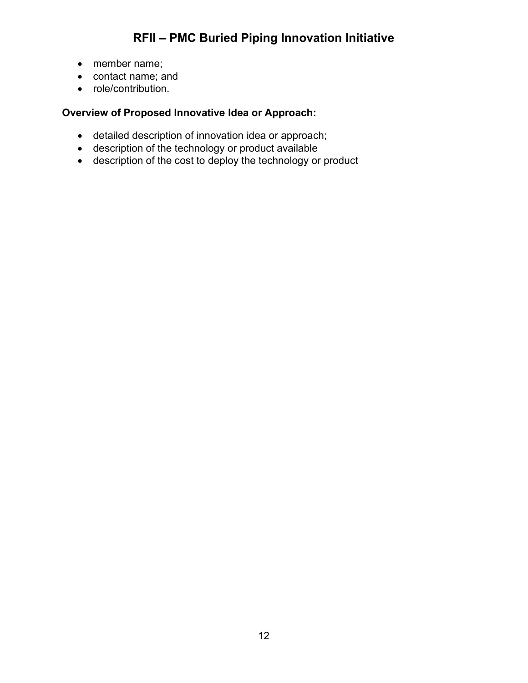- member name;
- contact name; and
- role/contribution.

### Overview of Proposed Innovative Idea or Approach:

- detailed description of innovation idea or approach;
- description of the technology or product available
- description of the cost to deploy the technology or product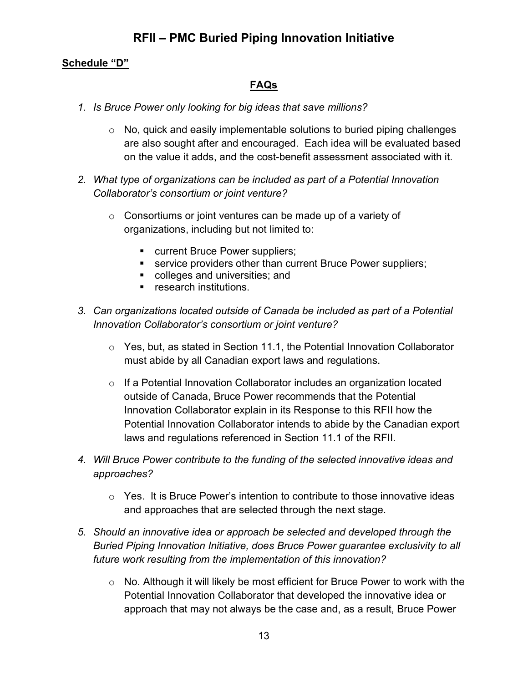### Schedule "D"

### FAQs

- 1. Is Bruce Power only looking for big ideas that save millions?
	- $\circ$  No, quick and easily implementable solutions to buried piping challenges are also sought after and encouraged. Each idea will be evaluated based on the value it adds, and the cost-benefit assessment associated with it.
- 2. What type of organizations can be included as part of a Potential Innovation Collaborator's consortium or joint venture?
	- $\circ$  Consortiums or joint ventures can be made up of a variety of organizations, including but not limited to:
		- **EXECUTE:** Current Bruce Power suppliers;
		- **service providers other than current Bruce Power suppliers;**
		- colleges and universities; and
		- **F** research institutions
- 3. Can organizations located outside of Canada be included as part of a Potential Innovation Collaborator's consortium or joint venture?
	- o Yes, but, as stated in Section 11.1, the Potential Innovation Collaborator must abide by all Canadian export laws and regulations.
	- o If a Potential Innovation Collaborator includes an organization located outside of Canada, Bruce Power recommends that the Potential Innovation Collaborator explain in its Response to this RFII how the Potential Innovation Collaborator intends to abide by the Canadian export laws and regulations referenced in Section 11.1 of the RFII.
- 4. Will Bruce Power contribute to the funding of the selected innovative ideas and approaches?
	- $\circ$  Yes. It is Bruce Power's intention to contribute to those innovative ideas and approaches that are selected through the next stage.
- 5. Should an innovative idea or approach be selected and developed through the Buried Piping Innovation Initiative, does Bruce Power guarantee exclusivity to all future work resulting from the implementation of this innovation?
	- $\circ$  No. Although it will likely be most efficient for Bruce Power to work with the Potential Innovation Collaborator that developed the innovative idea or approach that may not always be the case and, as a result, Bruce Power